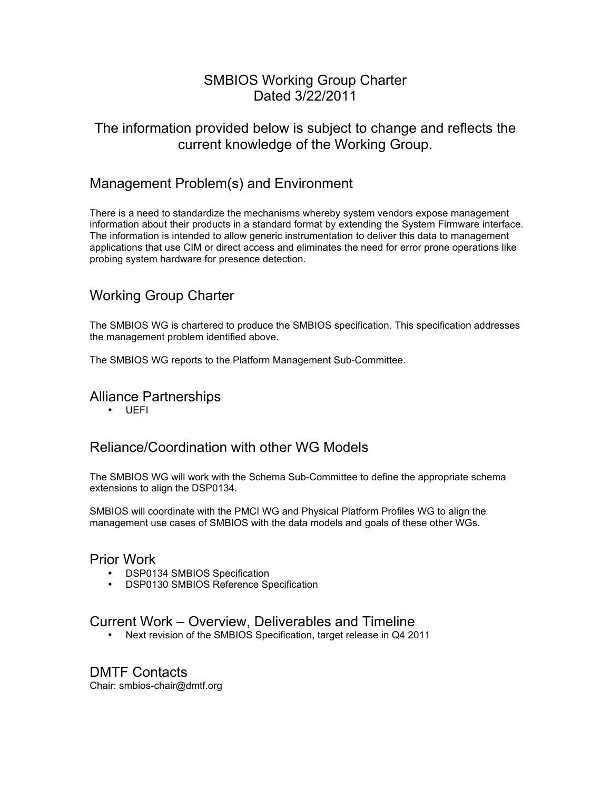## SMBIOS Working Group Charter Dated 3/22/2011

## The information provided below is subject to change and reflects the current knowledge of the Working Group.

## Management Problem(s) and Environment

There is a need to standardize the mechanisms whereby system vendors expose management information about their products in a standard format by extending the System Firmware interface. The information is intended to allow generic instrumentation to deliver this data to management applications that use CIM or direct access and eliminates the need for error prone operations like probing system hardware for presence detection.

# Working Group Charter

The SMBIOS WG is chartered to produce the SMBIOS specification. This specification addresses the management problem identified above.

The SMBIOS WG reports to the Platform Management Sub-Committee.

Alliance Partnerships

• UEFI

## Reliance/Coordination with other WG Models

The SMBIOS WG will work with the Schema Sub-Committee to define the appropriate schema extensions to align the DSP0134.

SMBIOS will coordinate with the PMCI WG and Physical Platform Profiles WG to align the management use cases of SMBIOS with the data models and goals of these other WGs.

#### Prior Work

- DSP0134 SMBIOS Specification
- DSP0130 SMBIOS Reference Specification

### Current Work – Overview, Deliverables and Timeline

• Next revision of the SMBIOS Specification, target release in Q4 2011

DMTF Contacts Chair: smbios-chair@dmtf.org